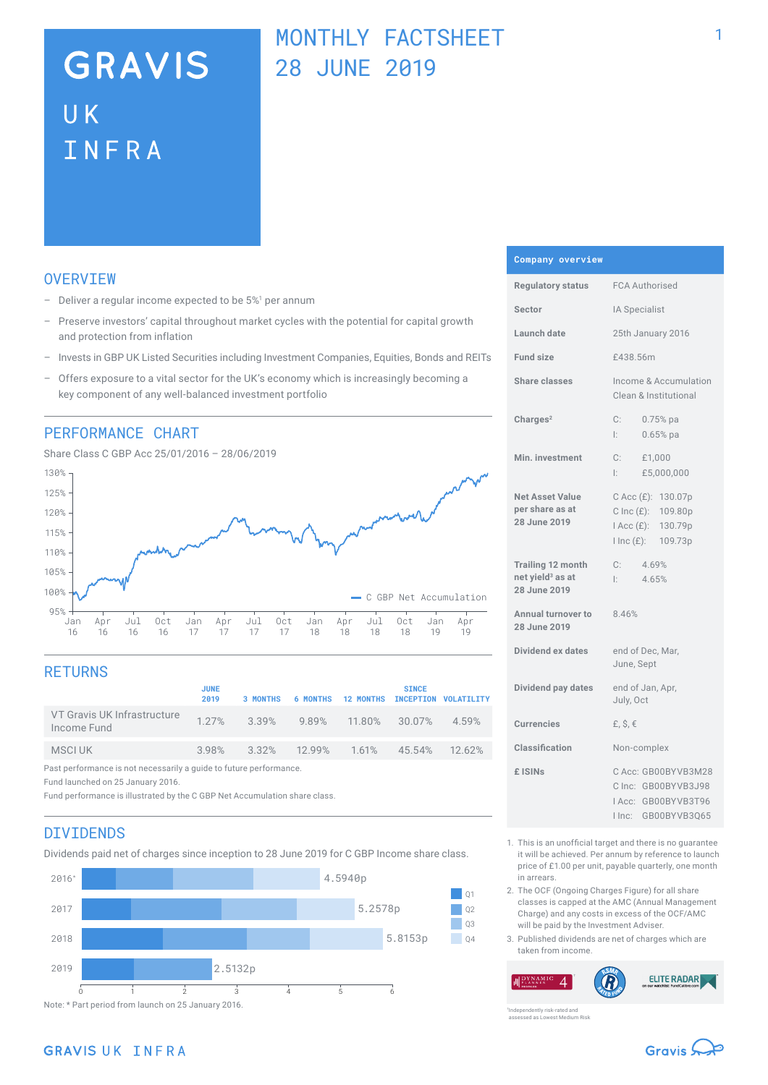# **GRAVIS UK** INFRA

## MONTHLY FACTSHEET 28 JUNE 2019

### **OVERVTEW**

- $-$  Deliver a regular income expected to be  $5\%$ <sup>1</sup> per annum
- Preserve investors' capital throughout market cycles with the potential for capital growth and protection from inflation
- Invests in GBP UK Listed Securities including Investment Companies, Equities, Bonds and REITs
- Offers exposure to a vital sector for the UK's economy which is increasingly becoming a key component of any well-balanced investment portfolio

### PERFORMANCE CHART





## **RETURNS**

|                                                                    | <b>JUNE</b><br>2019 | 3 MONTHS                             | <b>6 MONTHS</b> | <b>12 MONTHS INCEPTION VOLATILITY</b> | <b>SINCE</b>  |       |
|--------------------------------------------------------------------|---------------------|--------------------------------------|-----------------|---------------------------------------|---------------|-------|
| VT Gravis UK Infrastructure<br>Income Fund                         |                     | 1.27% 3.39% 9.89% 11.80% 30.07%      |                 |                                       |               | 4.59% |
| MSCI UK                                                            |                     | $3.98\%$ $3.32\%$ $12.99\%$ $1.61\%$ |                 |                                       | 45.54% 12.62% |       |
| Past performance is not necessarily a guide to future performance. |                     |                                      |                 |                                       |               |       |

Fund launched on 25 January 2016.

Fund performance is illustrated by the C GBP Net Accumulation share class.

## DIVIDENDS

Dividends paid net of charges since inception to 28 June 2019 for C GBP Income share class.



#### **Company overview**

| <b>Regulatory status</b>                                          | <b>FCA Authorised</b>                                                                      |  |  |
|-------------------------------------------------------------------|--------------------------------------------------------------------------------------------|--|--|
| Sector                                                            | IA Specialist                                                                              |  |  |
| Launch date                                                       | 25th January 2016                                                                          |  |  |
| <b>Fund size</b>                                                  | £438.56m                                                                                   |  |  |
| <b>Share classes</b>                                              | Income & Accumulation<br>Clean & Institutional                                             |  |  |
| Charles <sup>2</sup>                                              | C:<br>0.75% pa<br>$0.65%$ pa<br>Ŀ.                                                         |  |  |
| Min. investment                                                   | C: E1,000<br>£5,000,000<br>l: I                                                            |  |  |
| <b>Net Asset Value</b><br>per share as at<br>28 June 2019         | C Acc (£): 130.07p<br>C Inc $(E)$ : 109.80p<br>I Acc (£): 130.79p<br>I Inc (£): 109.73p    |  |  |
| Trailing 12 month<br>net yield <sup>3</sup> as at<br>28 June 2019 | 4.69%<br>C:<br>4.65%<br>Ŀ.                                                                 |  |  |
| Annual turnover to<br>28 June 2019                                | 8.46%                                                                                      |  |  |
| Dividend ex dates                                                 | end of Dec, Mar,<br>June, Sept                                                             |  |  |
| Dividend pay dates                                                | end of Jan, Apr,<br>July, Oct                                                              |  |  |
| <b>Currencies</b>                                                 | £, $$, €$                                                                                  |  |  |
| Classification                                                    | Non-complex                                                                                |  |  |
| £ ISINs                                                           | C Acc: GB00BYVB3M28<br>C Inc: GB00BYVB3J98<br>IAcc: GB00BYVB3T96<br>GB00BYVB3Q65<br>I Inc: |  |  |

- 1. This is an unofficial target and there is no guarantee it will be achieved. Per annum by reference to launch price of £1.00 per unit, payable quarterly, one month in arrears.
- 2. The OCF (Ongoing Charges Figure) for all share classes is capped at the AMC (Annual Management Charge) and any costs in excess of the OCF/AMC will be paid by the Investment Adviser.
- 3. Published dividends are net of charges which are taken from income.

**ELITE RADAR**  $\boldsymbol{\varDelta}$ 

ently risk-rated and assessed as Lowest Medium Risk

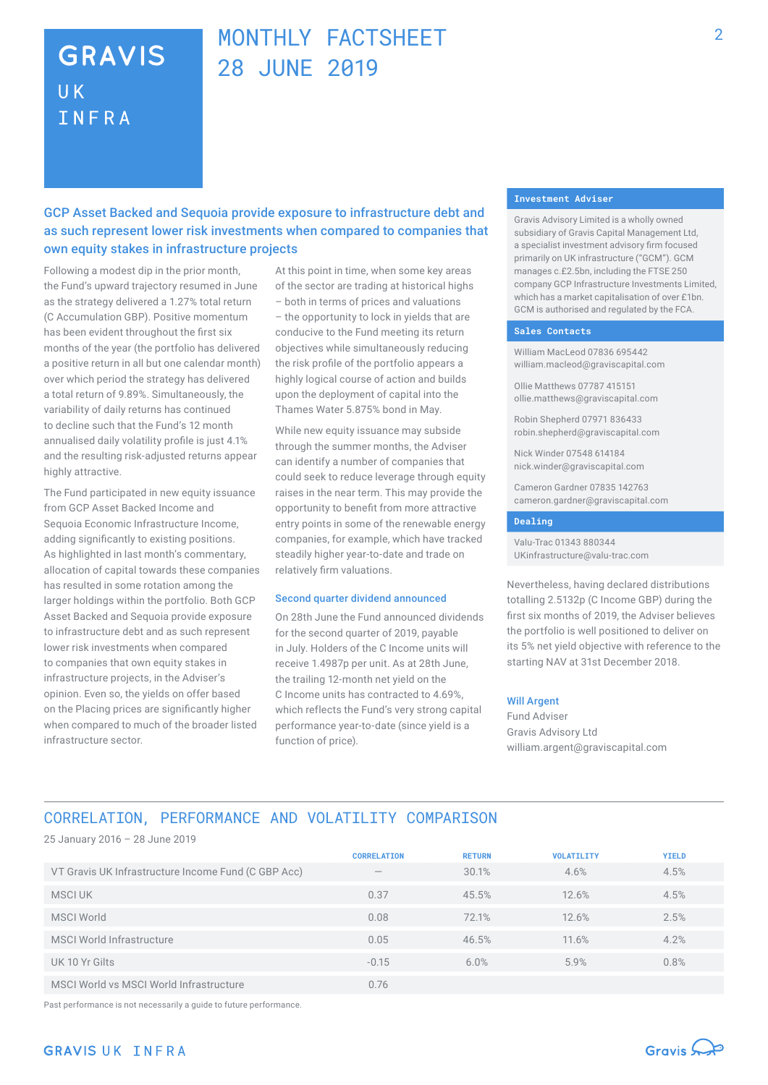## **GRAVIS UK** INFRA

## MONTHLY FACTSHEET 28 JUNE 2019

### GCP Asset Backed and Sequoia provide exposure to infrastructure debt and as such represent lower risk investments when compared to companies that own equity stakes in infrastructure projects

Following a modest dip in the prior month, the Fund's upward trajectory resumed in June as the strategy delivered a 1.27% total return (C Accumulation GBP). Positive momentum has been evident throughout the first six months of the year (the portfolio has delivered a positive return in all but one calendar month) over which period the strategy has delivered a total return of 9.89%. Simultaneously, the variability of daily returns has continued to decline such that the Fund's 12 month annualised daily volatility profile is just 4.1% and the resulting risk-adjusted returns appear highly attractive.

The Fund participated in new equity issuance from GCP Asset Backed Income and Sequoia Economic Infrastructure Income, adding significantly to existing positions. As highlighted in last month's commentary, allocation of capital towards these companies has resulted in some rotation among the larger holdings within the portfolio. Both GCP Asset Backed and Sequoia provide exposure to infrastructure debt and as such represent lower risk investments when compared to companies that own equity stakes in infrastructure projects, in the Adviser's opinion. Even so, the yields on offer based on the Placing prices are significantly higher when compared to much of the broader listed infrastructure sector.

At this point in time, when some key areas of the sector are trading at historical highs – both in terms of prices and valuations – the opportunity to lock in yields that are conducive to the Fund meeting its return objectives while simultaneously reducing the risk profile of the portfolio appears a highly logical course of action and builds upon the deployment of capital into the Thames Water 5.875% bond in May.

While new equity issuance may subside through the summer months, the Adviser can identify a number of companies that could seek to reduce leverage through equity raises in the near term. This may provide the opportunity to benefit from more attractive entry points in some of the renewable energy companies, for example, which have tracked steadily higher year-to-date and trade on relatively firm valuations.

#### Second quarter dividend announced

On 28th June the Fund announced dividends for the second quarter of 2019, payable in July. Holders of the C Income units will receive 1.4987p per unit. As at 28th June, the trailing 12-month net yield on the C Income units has contracted to 4.69%, which reflects the Fund's very strong capital performance year-to-date (since yield is a function of price).

#### **Investment Adviser**

Gravis Advisory Limited is a wholly owned subsidiary of Gravis Capital Management Ltd, a specialist investment advisory firm focused primarily on UK infrastructure ("GCM"). GCM manages c.£2.5bn, including the FTSE 250 company GCP Infrastructure Investments Limited, which has a market capitalisation of over £1bn. GCM is authorised and regulated by the FCA.

#### **Sales Contacts**

William MacLeod 07836 695442 william.macleod@graviscapital.com

Ollie Matthews 07787 415151 ollie.matthews@graviscapital.com

Robin Shepherd 07971 836433 robin.shepherd@graviscapital.com

Nick Winder 07548 614184 nick.winder@graviscapital.com

Cameron Gardner 07835 142763 cameron.gardner@graviscapital.com

#### **Dealing**

Valu-Trac 01343 880344 UKinfrastructure@valu-trac.com

Nevertheless, having declared distributions totalling 2.5132p (C Income GBP) during the first six months of 2019, the Adviser believes the portfolio is well positioned to deliver on its 5% net yield objective with reference to the starting NAV at 31st December 2018.

#### Will Argent

Fund Adviser Gravis Advisory Ltd william.argent@graviscapital.com

## CORRELATION, PERFORMANCE AND VOLATILITY COMPARISON

25 January 2016 – 28 June 2019

|                                                     | <b>CORRELATION</b> | <b>RETURN</b> | <b>VOLATILITY</b> | <b>YIELD</b> |
|-----------------------------------------------------|--------------------|---------------|-------------------|--------------|
| VT Gravis UK Infrastructure Income Fund (C GBP Acc) | $\hspace{0.5cm}$   | 30.1%         | 4.6%              | 4.5%         |
| MSCI UK                                             | 0.37               | 45.5%         | 12.6%             | 4.5%         |
| <b>MSCI World</b>                                   | 0.08               | 72.1%         | 12.6%             | 2.5%         |
| <b>MSCI World Infrastructure</b>                    | 0.05               | 46.5%         | 11.6%             | 4.2%         |
| UK 10 Yr Gilts                                      | $-0.15$            | 6.0%          | 5.9%              | 0.8%         |
| MSCI World vs MSCI World Infrastructure             | 0.76               |               |                   |              |

Past performance is not necessarily a guide to future performance.